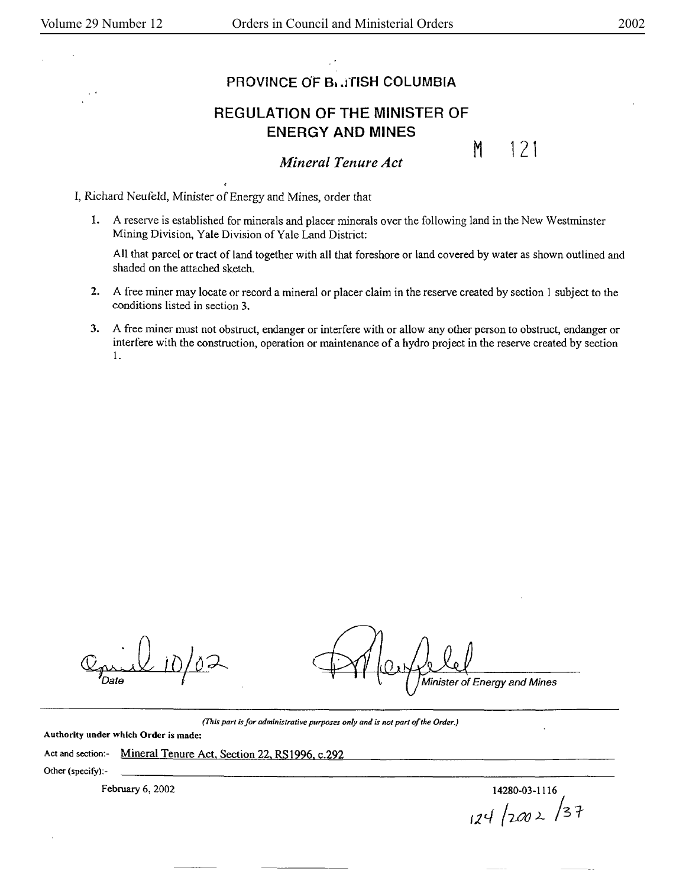M 121

## PROVINCE OF B<sub>1</sub>, *ITISH* COLUMBIA

## REGULATION OF THE MINISTER OF ENERGY AND MINES

*Mineral Tenure Act* 

I, Richard Neufeld, Minister of Energy and Mines, order that

1. A reserve is established for minerals and placer minerals over the following land in the New Westminster Mining Division, Yale Division of Yale Land District:

All that parcel or tract of land together with all that foreshore or land covered by water as shown outlined and shaded on the attached sketch.

- **2.** A free miner may locate or record a mineral or placer claim in the reserve created by section I subject to the conditions listed in section 3.
- **3.** A free miner must not obstruct, endanger or interfere with or allow any other person to obstruct, endanger or interfere with the construction, operation or maintenance of a hydro project in the reserve created by section 1.

 $\mathbb{C}_{\text{plate}}$  10/02

Minister of Energy and Mines

(This *part* is *for administrative purposes only and is not parl of the Order.)* 

Authority under which Order is made:

## Act and section:- Mineral Tenure Act, Section 22, RS1996, c.292

Other (specify):-

February 6, 2002 14280-03-1116 *11c\_f /2-tJO )\_* /3 f